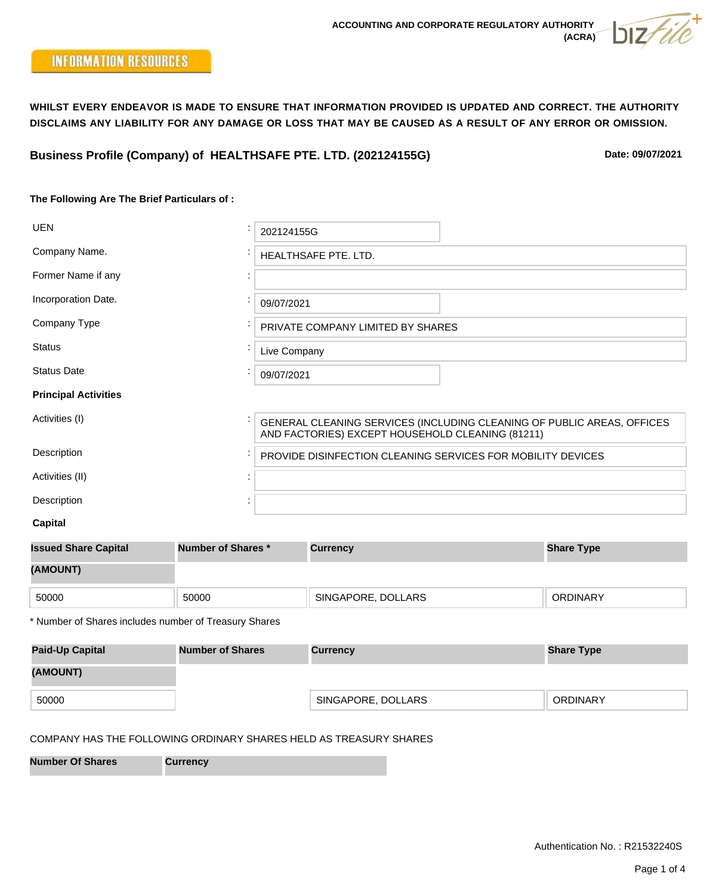**Business Profile (Company) of HEALTHSAFE PTE. LTD. (202124155G)**

**Date: 09/07/2021**

## **The Following Are The Brief Particulars of :**

| <b>UEN</b>                  | 202124155G                                                                                                                 |
|-----------------------------|----------------------------------------------------------------------------------------------------------------------------|
| Company Name.               | HEALTHSAFE PTE. LTD.                                                                                                       |
| Former Name if any          |                                                                                                                            |
| Incorporation Date.         | 09/07/2021                                                                                                                 |
| Company Type                | PRIVATE COMPANY LIMITED BY SHARES                                                                                          |
| <b>Status</b>               | Live Company                                                                                                               |
| <b>Status Date</b>          | 09/07/2021                                                                                                                 |
| <b>Principal Activities</b> |                                                                                                                            |
| Activities (I)              | GENERAL CLEANING SERVICES (INCLUDING CLEANING OF PUBLIC AREAS, OFFICES<br>AND FACTORIES) EXCEPT HOUSEHOLD CLEANING (81211) |
| Description                 | PROVIDE DISINFECTION CLEANING SERVICES FOR MOBILITY DEVICES                                                                |
| Activities (II)             |                                                                                                                            |
| Description                 |                                                                                                                            |
| <b>Capital</b>              |                                                                                                                            |

| <b>Issued Share Capital</b> | <b>Number of Shares *</b> | <b>Currency</b>    | <b>Share Type</b> |  |  |
|-----------------------------|---------------------------|--------------------|-------------------|--|--|
| (AMOUNT)                    |                           |                    |                   |  |  |
| 50000                       | 50000                     | SINGAPORE, DOLLARS | <b>ORDINARY</b>   |  |  |

\* Number of Shares includes number of Treasury Shares

| <b>Paid-Up Capital</b> | <b>Number of Shares</b> | <b>Currency</b>    | <b>Share Type</b> |  |
|------------------------|-------------------------|--------------------|-------------------|--|
| (AMOUNT)               |                         |                    |                   |  |
| 50000                  |                         | SINGAPORE, DOLLARS | <b>ORDINARY</b>   |  |

# COMPANY HAS THE FOLLOWING ORDINARY SHARES HELD AS TREASURY SHARES

**Number Of Shares Currency**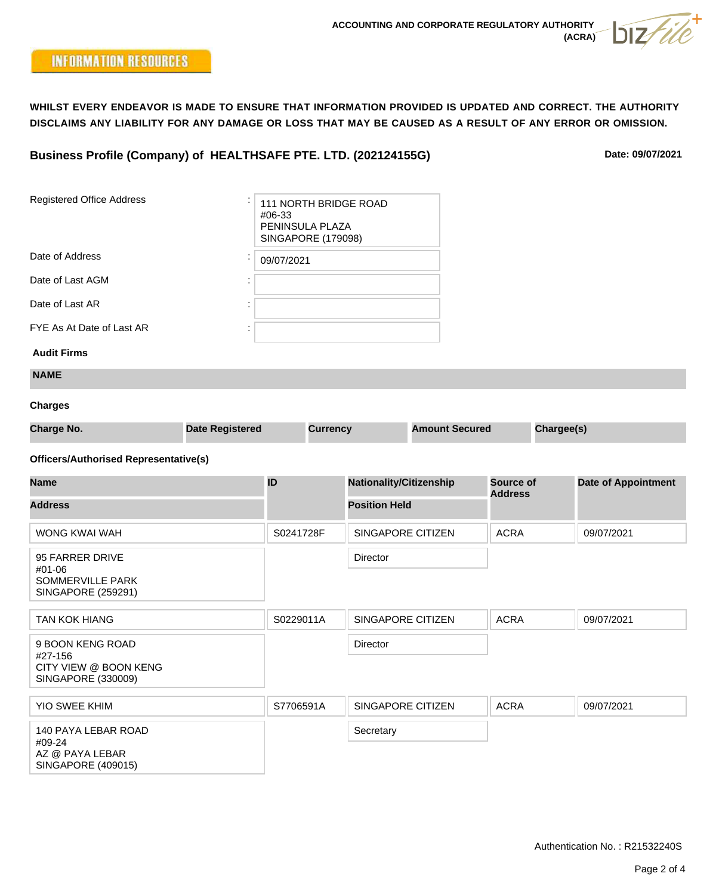# **Business Profile (Company) of HEALTHSAFE PTE. LTD. (202124155G)**

**Date: 09/07/2021**

| <b>Registered Office Address</b><br>#06-33                                    |                        |            | PENINSULA PLAZA<br><b>SINGAPORE (179098)</b> | 111 NORTH BRIDGE ROAD          |                       |                             |            |                            |
|-------------------------------------------------------------------------------|------------------------|------------|----------------------------------------------|--------------------------------|-----------------------|-----------------------------|------------|----------------------------|
| Date of Address                                                               |                        | 09/07/2021 |                                              |                                |                       |                             |            |                            |
| Date of Last AGM                                                              |                        |            |                                              |                                |                       |                             |            |                            |
| Date of Last AR                                                               |                        |            |                                              |                                |                       |                             |            |                            |
| FYE As At Date of Last AR                                                     |                        |            |                                              |                                |                       |                             |            |                            |
| <b>Audit Firms</b>                                                            |                        |            |                                              |                                |                       |                             |            |                            |
| <b>NAME</b>                                                                   |                        |            |                                              |                                |                       |                             |            |                            |
| <b>Charges</b>                                                                |                        |            |                                              |                                |                       |                             |            |                            |
| <b>Charge No.</b>                                                             | <b>Date Registered</b> |            | <b>Currency</b>                              |                                | <b>Amount Secured</b> |                             | Chargee(s) |                            |
| <b>Officers/Authorised Representative(s)</b>                                  |                        |            |                                              |                                |                       |                             |            |                            |
| <b>Name</b>                                                                   |                        | ID         |                                              | <b>Nationality/Citizenship</b> |                       | Source of<br><b>Address</b> |            | <b>Date of Appointment</b> |
| <b>Address</b>                                                                |                        |            |                                              | <b>Position Held</b>           |                       |                             |            |                            |
| WONG KWAI WAH                                                                 |                        | S0241728F  |                                              | SINGAPORE CITIZEN              |                       | <b>ACRA</b>                 |            | 09/07/2021                 |
| 95 FARRER DRIVE<br>#01-06<br><b>SOMMERVILLE PARK</b><br>SINGAPORE (259291)    |                        |            |                                              | Director                       |                       |                             |            |                            |
| <b>TAN KOK HIANG</b>                                                          |                        | S0229011A  |                                              | SINGAPORE CITIZEN              |                       | <b>ACRA</b>                 |            | 09/07/2021                 |
| 9 BOON KENG ROAD<br>#27-156<br>CITY VIEW @ BOON KENG<br>SINGAPORE (330009)    |                        |            |                                              | Director                       |                       |                             |            |                            |
| <b>YIO SWEE KHIM</b>                                                          |                        | S7706591A  |                                              | SINGAPORE CITIZEN              |                       | <b>ACRA</b>                 |            | 09/07/2021                 |
| 140 PAYA LEBAR ROAD<br>#09-24<br>AZ @ PAYA LEBAR<br><b>SINGAPORE (409015)</b> |                        |            |                                              | Secretary                      |                       |                             |            |                            |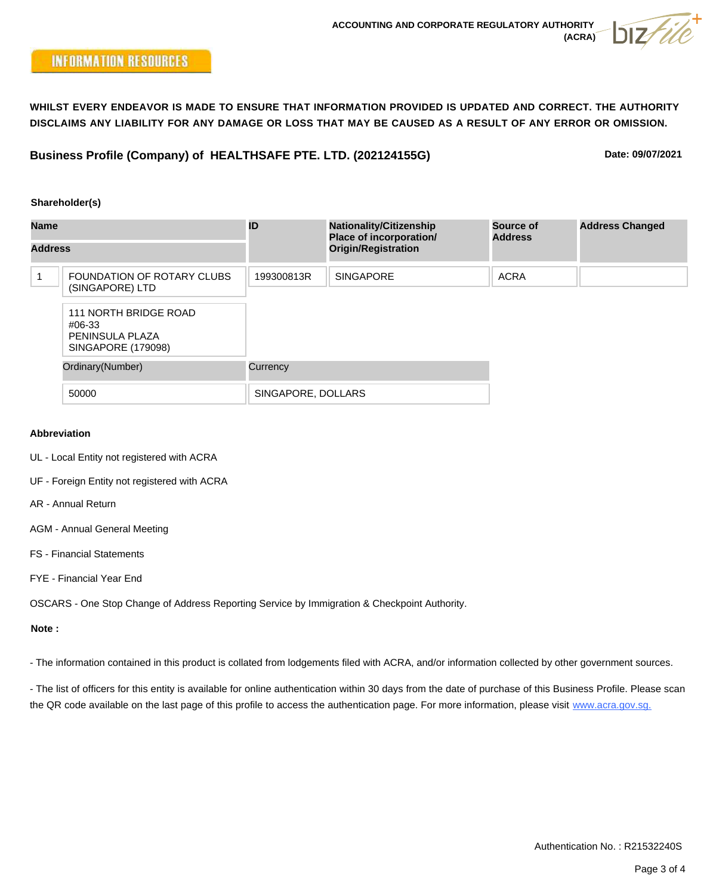**Business Profile (Company) of HEALTHSAFE PTE. LTD. (202124155G)**

**Date: 09/07/2021**

### **Shareholder(s)**

| <b>Name</b><br><b>Address</b> |                                                                          | ID                 | <b>Nationality/Citizenship</b><br>Place of incorporation/ | Source of<br><b>Address</b> | <b>Address Changed</b> |
|-------------------------------|--------------------------------------------------------------------------|--------------------|-----------------------------------------------------------|-----------------------------|------------------------|
|                               |                                                                          |                    | <b>Origin/Registration</b>                                |                             |                        |
|                               | FOUNDATION OF ROTARY CLUBS<br>(SINGAPORE) LTD                            | 199300813R         | <b>SINGAPORE</b>                                          | <b>ACRA</b>                 |                        |
|                               | 111 NORTH BRIDGE ROAD<br>#06-33<br>PENINSULA PLAZA<br>SINGAPORE (179098) |                    |                                                           |                             |                        |
| Ordinary(Number)<br>50000     |                                                                          | Currency           |                                                           |                             |                        |
|                               |                                                                          | SINGAPORE, DOLLARS |                                                           |                             |                        |

### **Abbreviation**

- UL Local Entity not registered with ACRA
- UF Foreign Entity not registered with ACRA
- AR Annual Return
- AGM Annual General Meeting
- FS Financial Statements
- FYE Financial Year End

OSCARS - One Stop Change of Address Reporting Service by Immigration & Checkpoint Authority.

#### **Note :**

- The information contained in this product is collated from lodgements filed with ACRA, and/or information collected by other government sources.

- The list of officers for this entity is available for online authentication within 30 days from the date of purchase of this Business Profile. Please scan the QR code available on the last page of this profile to access the authentication page. For more information, please visit www.acra.gov.sg.